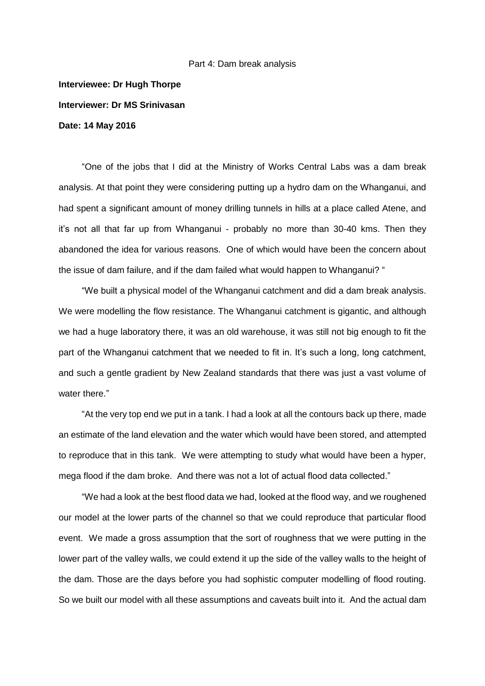## Part 4: Dam break analysis

## **Interviewee: Dr Hugh Thorpe Interviewer: Dr MS Srinivasan Date: 14 May 2016**

"One of the jobs that I did at the Ministry of Works Central Labs was a dam break analysis. At that point they were considering putting up a hydro dam on the Whanganui, and had spent a significant amount of money drilling tunnels in hills at a place called Atene, and it's not all that far up from Whanganui - probably no more than 30-40 kms. Then they abandoned the idea for various reasons. One of which would have been the concern about the issue of dam failure, and if the dam failed what would happen to Whanganui? "

"We built a physical model of the Whanganui catchment and did a dam break analysis. We were modelling the flow resistance. The Whanganui catchment is gigantic, and although we had a huge laboratory there, it was an old warehouse, it was still not big enough to fit the part of the Whanganui catchment that we needed to fit in. It's such a long, long catchment, and such a gentle gradient by New Zealand standards that there was just a vast volume of water there."

"At the very top end we put in a tank. I had a look at all the contours back up there, made an estimate of the land elevation and the water which would have been stored, and attempted to reproduce that in this tank. We were attempting to study what would have been a hyper, mega flood if the dam broke. And there was not a lot of actual flood data collected."

"We had a look at the best flood data we had, looked at the flood way, and we roughened our model at the lower parts of the channel so that we could reproduce that particular flood event. We made a gross assumption that the sort of roughness that we were putting in the lower part of the valley walls, we could extend it up the side of the valley walls to the height of the dam. Those are the days before you had sophistic computer modelling of flood routing. So we built our model with all these assumptions and caveats built into it. And the actual dam